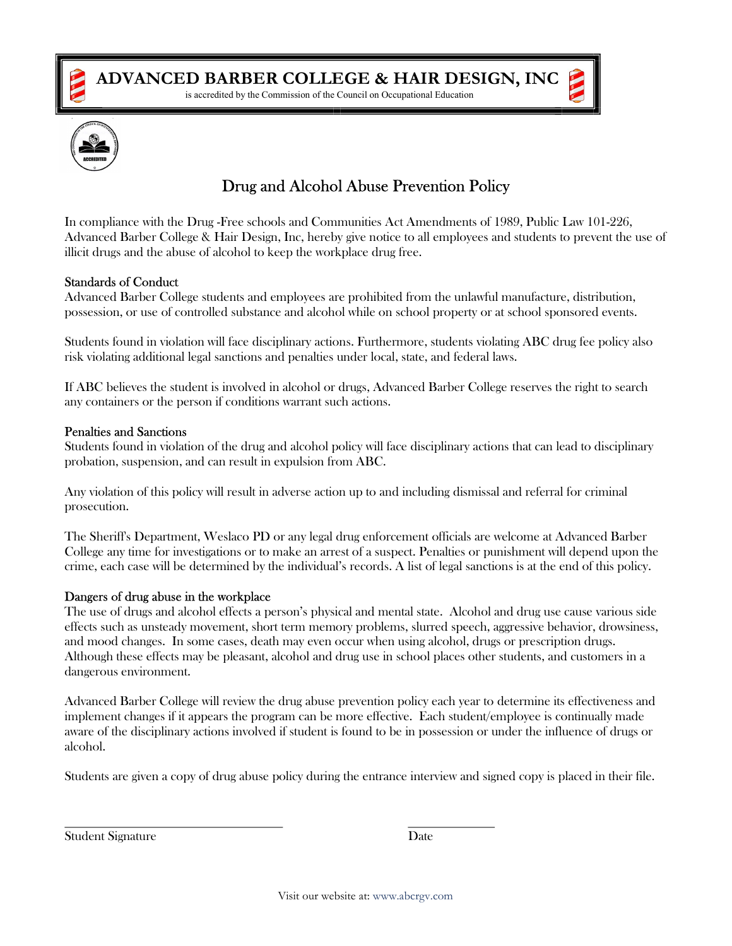

is accredited by the Commission of the Council on Occupational Education



# Drug and Alcohol Abuse Prevention Policy

In compliance with the Drug -Free schools and Communities Act Amendments of 1989, Public Law 101-226, Advanced Barber College & Hair Design, Inc, hereby give notice to all employees and students to prevent the use of illicit drugs and the abuse of alcohol to keep the workplace drug free.

#### Standards of Conduct

Advanced Barber College students and employees are prohibited from the unlawful manufacture, distribution, possession, or use of controlled substance and alcohol while on school property or at school sponsored events.

Students found in violation will face disciplinary actions. Furthermore, students violating ABC drug fee policy also risk violating additional legal sanctions and penalties under local, state, and federal laws.

If ABC believes the student is involved in alcohol or drugs, Advanced Barber College reserves the right to search any containers or the person if conditions warrant such actions.

#### Penalties and Sanctions

Students found in violation of the drug and alcohol policy will face disciplinary actions that can lead to disciplinary probation, suspension, and can result in expulsion from ABC.

Any violation of this policy will result in adverse action up to and including dismissal and referral for criminal prosecution.

The Sheriff's Department, Weslaco PD or any legal drug enforcement officials are welcome at Advanced Barber College any time for investigations or to make an arrest of a suspect. Penalties or punishment will depend upon the crime, each case will be determined by the individual's records. A list of legal sanctions is at the end of this policy.

#### Dangers of drug abuse in the workplace

The use of drugs and alcohol effects a person's physical and mental state. Alcohol and drug use cause various side effects such as unsteady movement, short term memory problems, slurred speech, aggressive behavior, drowsiness, and mood changes. In some cases, death may even occur when using alcohol, drugs or prescription drugs. Although these effects may be pleasant, alcohol and drug use in school places other students, and customers in a dangerous environment.

Advanced Barber College will review the drug abuse prevention policy each year to determine its effectiveness and implement changes if it appears the program can be more effective. Each student/employee is continually made aware of the disciplinary actions involved if student is found to be in possession or under the influence of drugs or alcohol.

Students are given a copy of drug abuse policy during the entrance interview and signed copy is placed in their file.

Student Signature Date

 $\overline{a}$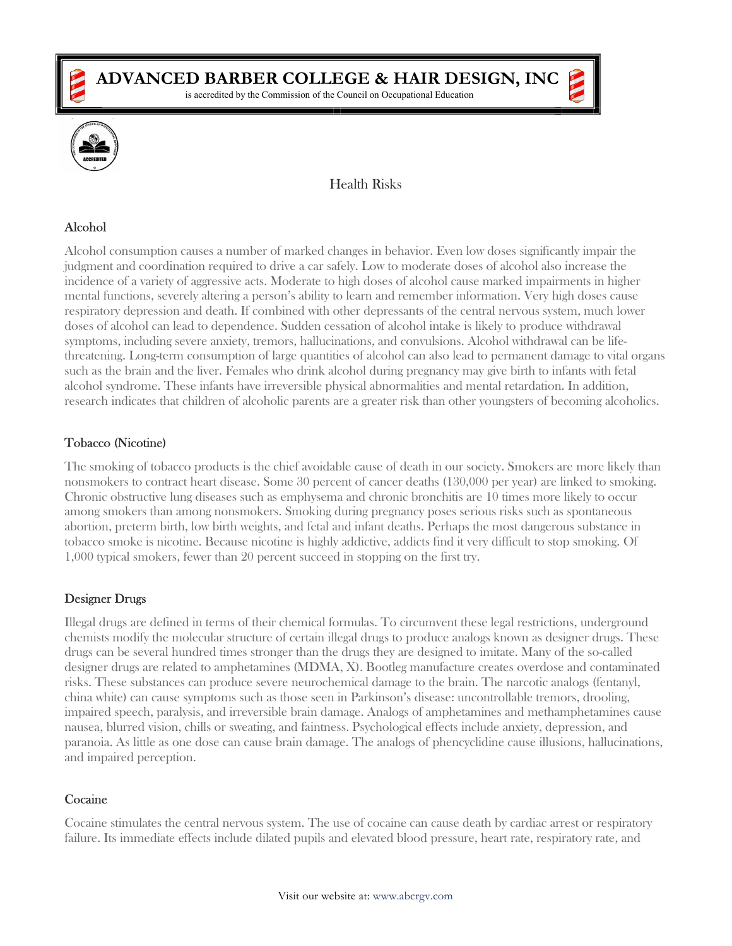

is accredited by the Commission of the Council on Occupational Education



# Health Risks

## Alcohol

Alcohol consumption causes a number of marked changes in behavior. Even low doses significantly impair the judgment and coordination required to drive a car safely. Low to moderate doses of alcohol also increase the incidence of a variety of aggressive acts. Moderate to high doses of alcohol cause marked impairments in higher mental functions, severely altering a person's ability to learn and remember information. Very high doses cause respiratory depression and death. If combined with other depressants of the central nervous system, much lower doses of alcohol can lead to dependence. Sudden cessation of alcohol intake is likely to produce withdrawal symptoms, including severe anxiety, tremors, hallucinations, and convulsions. Alcohol withdrawal can be lifethreatening. Long-term consumption of large quantities of alcohol can also lead to permanent damage to vital organs such as the brain and the liver. Females who drink alcohol during pregnancy may give birth to infants with fetal alcohol syndrome. These infants have irreversible physical abnormalities and mental retardation. In addition, research indicates that children of alcoholic parents are a greater risk than other youngsters of becoming alcoholics.

## Tobacco (Nicotine)

The smoking of tobacco products is the chief avoidable cause of death in our society. Smokers are more likely than nonsmokers to contract heart disease. Some 30 percent of cancer deaths (130,000 per year) are linked to smoking. Chronic obstructive lung diseases such as emphysema and chronic bronchitis are 10 times more likely to occur among smokers than among nonsmokers. Smoking during pregnancy poses serious risks such as spontaneous abortion, preterm birth, low birth weights, and fetal and infant deaths. Perhaps the most dangerous substance in tobacco smoke is nicotine. Because nicotine is highly addictive, addicts find it very difficult to stop smoking. Of 1,000 typical smokers, fewer than 20 percent succeed in stopping on the first try.

#### Designer Drugs

Illegal drugs are defined in terms of their chemical formulas. To circumvent these legal restrictions, underground chemists modify the molecular structure of certain illegal drugs to produce analogs known as designer drugs. These drugs can be several hundred times stronger than the drugs they are designed to imitate. Many of the so-called designer drugs are related to amphetamines (MDMA, X). Bootleg manufacture creates overdose and contaminated risks. These substances can produce severe neurochemical damage to the brain. The narcotic analogs (fentanyl, china white) can cause symptoms such as those seen in Parkinson's disease: uncontrollable tremors, drooling, impaired speech, paralysis, and irreversible brain damage. Analogs of amphetamines and methamphetamines cause nausea, blurred vision, chills or sweating, and faintness. Psychological effects include anxiety, depression, and paranoia. As little as one dose can cause brain damage. The analogs of phencyclidine cause illusions, hallucinations, and impaired perception.

# **Cocaine**

Cocaine stimulates the central nervous system. The use of cocaine can cause death by cardiac arrest or respiratory failure. Its immediate effects include dilated pupils and elevated blood pressure, heart rate, respiratory rate, and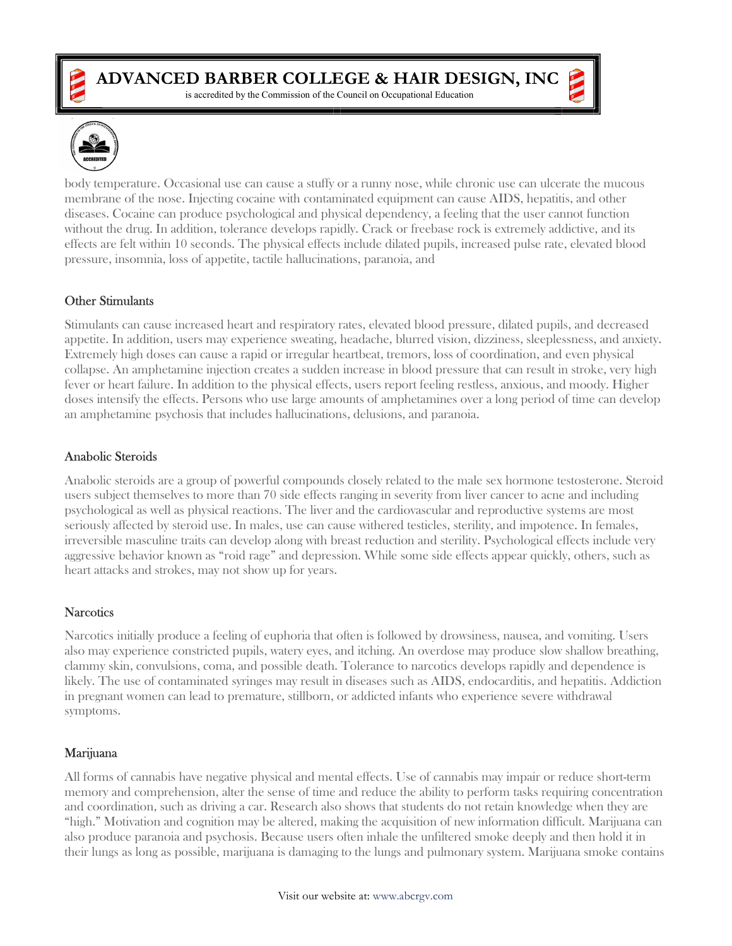

is accredited by the Commission of the Council on Occupational Education



body temperature. Occasional use can cause a stuffy or a runny nose, while chronic use can ulcerate the mucous membrane of the nose. Injecting cocaine with contaminated equipment can cause AIDS, hepatitis, and other diseases. Cocaine can produce psychological and physical dependency, a feeling that the user cannot function without the drug. In addition, tolerance develops rapidly. Crack or freebase rock is extremely addictive, and its effects are felt within 10 seconds. The physical effects include dilated pupils, increased pulse rate, elevated blood pressure, insomnia, loss of appetite, tactile hallucinations, paranoia, and

## Other Stimulants

Stimulants can cause increased heart and respiratory rates, elevated blood pressure, dilated pupils, and decreased appetite. In addition, users may experience sweating, headache, blurred vision, dizziness, sleeplessness, and anxiety. Extremely high doses can cause a rapid or irregular heartbeat, tremors, loss of coordination, and even physical collapse. An amphetamine injection creates a sudden increase in blood pressure that can result in stroke, very high fever or heart failure. In addition to the physical effects, users report feeling restless, anxious, and moody. Higher doses intensify the effects. Persons who use large amounts of amphetamines over a long period of time can develop an amphetamine psychosis that includes hallucinations, delusions, and paranoia.

## Anabolic Steroids

Anabolic steroids are a group of powerful compounds closely related to the male sex hormone testosterone. Steroid users subject themselves to more than 70 side effects ranging in severity from liver cancer to acne and including psychological as well as physical reactions. The liver and the cardiovascular and reproductive systems are most seriously affected by steroid use. In males, use can cause withered testicles, sterility, and impotence. In females, irreversible masculine traits can develop along with breast reduction and sterility. Psychological effects include very aggressive behavior known as "roid rage" and depression. While some side effects appear quickly, others, such as heart attacks and strokes, may not show up for years.

# **Narcotics**

Narcotics initially produce a feeling of euphoria that often is followed by drowsiness, nausea, and vomiting. Users also may experience constricted pupils, watery eyes, and itching. An overdose may produce slow shallow breathing, clammy skin, convulsions, coma, and possible death. Tolerance to narcotics develops rapidly and dependence is likely. The use of contaminated syringes may result in diseases such as AIDS, endocarditis, and hepatitis. Addiction in pregnant women can lead to premature, stillborn, or addicted infants who experience severe withdrawal symptoms.

#### Marijuana

All forms of cannabis have negative physical and mental effects. Use of cannabis may impair or reduce short-term memory and comprehension, alter the sense of time and reduce the ability to perform tasks requiring concentration and coordination, such as driving a car. Research also shows that students do not retain knowledge when they are "high." Motivation and cognition may be altered, making the acquisition of new information difficult. Marijuana can also produce paranoia and psychosis. Because users often inhale the unfiltered smoke deeply and then hold it in their lungs as long as possible, marijuana is damaging to the lungs and pulmonary system. Marijuana smoke contains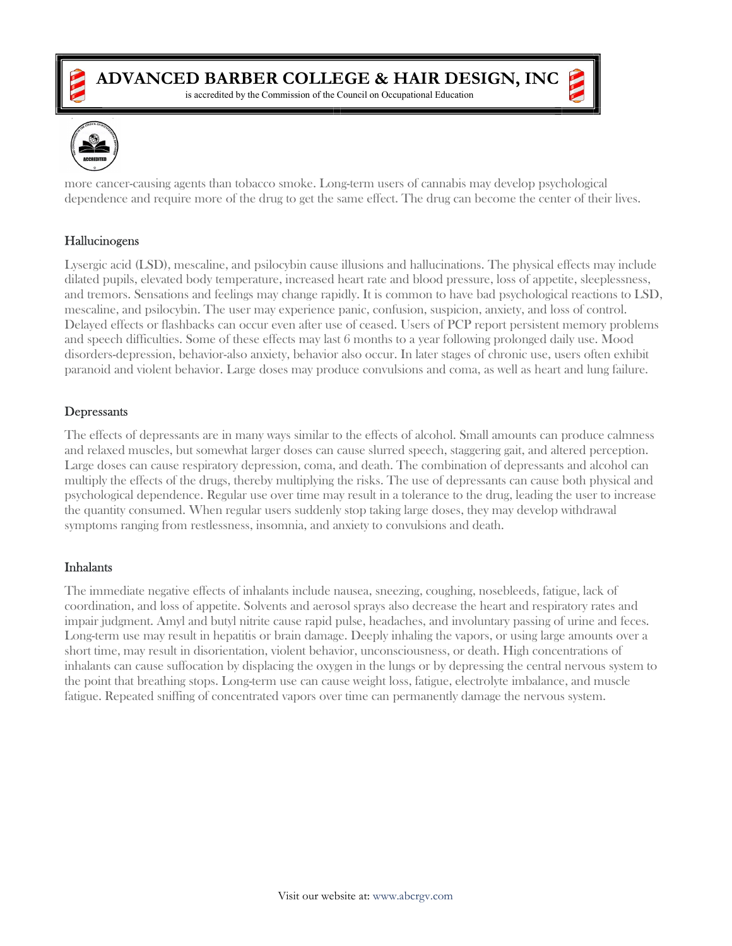

is accredited by the Commission of the Council on Occupational Education



more cancer-causing agents than tobacco smoke. Long-term users of cannabis may develop psychological dependence and require more of the drug to get the same effect. The drug can become the center of their lives.

## Hallucinogens

Lysergic acid (LSD), mescaline, and psilocybin cause illusions and hallucinations. The physical effects may include dilated pupils, elevated body temperature, increased heart rate and blood pressure, loss of appetite, sleeplessness, and tremors. Sensations and feelings may change rapidly. It is common to have bad psychological reactions to LSD, mescaline, and psilocybin. The user may experience panic, confusion, suspicion, anxiety, and loss of control. Delayed effects or flashbacks can occur even after use of ceased. Users of PCP report persistent memory problems and speech difficulties. Some of these effects may last 6 months to a year following prolonged daily use. Mood disorders-depression, behavior-also anxiety, behavior also occur. In later stages of chronic use, users often exhibit paranoid and violent behavior. Large doses may produce convulsions and coma, as well as heart and lung failure.

## **Depressants**

The effects of depressants are in many ways similar to the effects of alcohol. Small amounts can produce calmness and relaxed muscles, but somewhat larger doses can cause slurred speech, staggering gait, and altered perception. Large doses can cause respiratory depression, coma, and death. The combination of depressants and alcohol can multiply the effects of the drugs, thereby multiplying the risks. The use of depressants can cause both physical and psychological dependence. Regular use over time may result in a tolerance to the drug, leading the user to increase the quantity consumed. When regular users suddenly stop taking large doses, they may develop withdrawal symptoms ranging from restlessness, insomnia, and anxiety to convulsions and death.

#### Inhalants

The immediate negative effects of inhalants include nausea, sneezing, coughing, nosebleeds, fatigue, lack of coordination, and loss of appetite. Solvents and aerosol sprays also decrease the heart and respiratory rates and impair judgment. Amyl and butyl nitrite cause rapid pulse, headaches, and involuntary passing of urine and feces. Long-term use may result in hepatitis or brain damage. Deeply inhaling the vapors, or using large amounts over a short time, may result in disorientation, violent behavior, unconsciousness, or death. High concentrations of inhalants can cause suffocation by displacing the oxygen in the lungs or by depressing the central nervous system to the point that breathing stops. Long-term use can cause weight loss, fatigue, electrolyte imbalance, and muscle fatigue. Repeated sniffing of concentrated vapors over time can permanently damage the nervous system.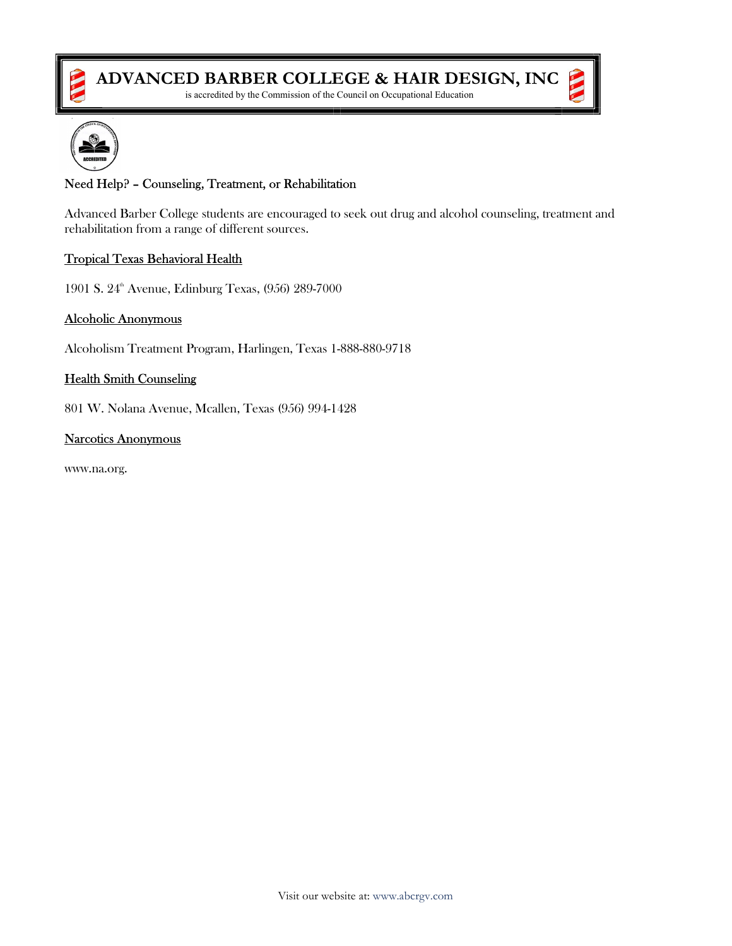

is accredited by the Commission of the Council on Occupational Education



# Need Help? – Counseling, Treatment, or Rehabilitation

Advanced Barber College students are encouraged to seek out drug and alcohol counseling, treatment and rehabilitation from a range of different sources.

#### Tropical Texas Behavioral Health

1901 S. 24<sup>th</sup> Avenue, Edinburg Texas, (956) 289-7000

#### Alcoholic Anonymous

Alcoholism Treatment Program, Harlingen, Texas 1-888-880-9718

#### Health Smith Counseling

801 W. Nolana Avenue, Mcallen, Texas (956) 994-1428

#### Narcotics Anonymous

www.na.org.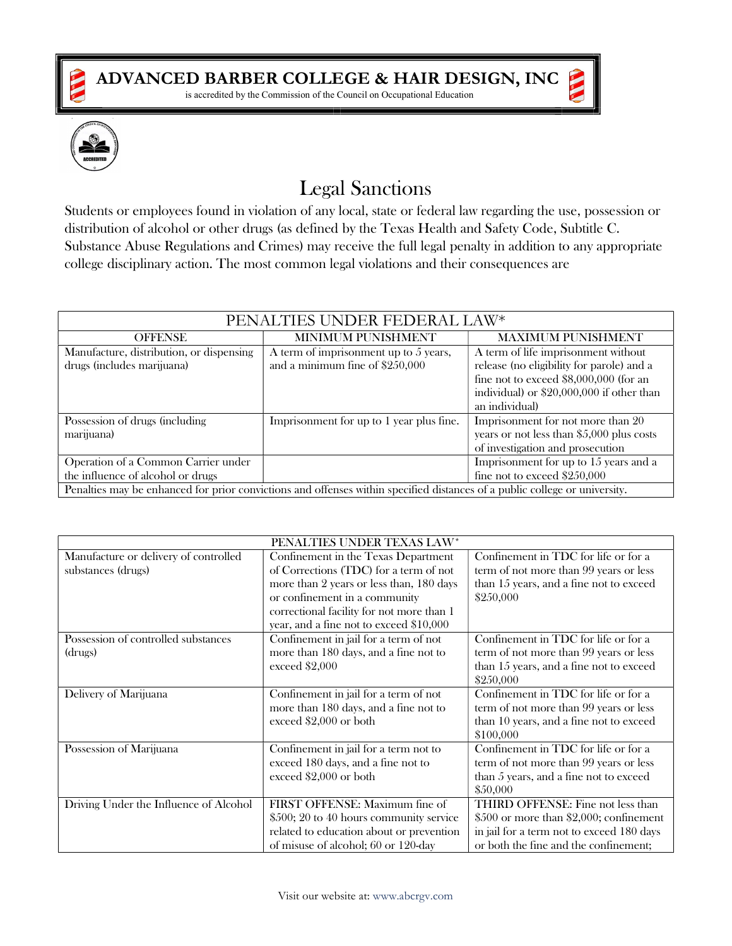

is accredited by the Commission of the Council on Occupational Education



# Legal Sanctions

Students or employees found in violation of any local, state or federal law regarding the use, possession or distribution of alcohol or other drugs (as defined by the Texas Health and Safety Code, Subtitle C. Substance Abuse Regulations and Crimes) may receive the full legal penalty in addition to any appropriate college disciplinary action. The most common legal violations and their consequences are

| PENALTIES UNDER FEDERAL LAW*                                                                                               |                                          |                                            |  |
|----------------------------------------------------------------------------------------------------------------------------|------------------------------------------|--------------------------------------------|--|
| <b>OFFENSE</b>                                                                                                             | MINIMUM PUNISHMENT                       | <b>MAXIMUM PUNISHMENT</b>                  |  |
| Manufacture, distribution, or dispensing                                                                                   | A term of imprisonment up to $5$ years,  | A term of life imprisonment without        |  |
| drugs (includes marijuana)                                                                                                 | and a minimum fine of \$250,000          | release (no eligibility for parole) and a  |  |
|                                                                                                                            |                                          | fine not to exceed \$8,000,000 (for an     |  |
|                                                                                                                            |                                          | individual) or \$20,000,000 if other than  |  |
|                                                                                                                            |                                          | an individual)                             |  |
| Possession of drugs (including                                                                                             | Imprisonment for up to 1 year plus fine. | Imprisonment for not more than 20          |  |
| marijuana)                                                                                                                 |                                          | years or not less than $$5,000$ plus costs |  |
|                                                                                                                            |                                          | of investigation and prosecution           |  |
| Operation of a Common Carrier under                                                                                        |                                          | Imprisonment for up to $15$ years and a    |  |
| the influence of alcohol or drugs                                                                                          |                                          | fine not to exceed \$250,000               |  |
| Penalties may be enhanced for prior convictions and offenses within specified distances of a public college or university. |                                          |                                            |  |

| PENALTIES UNDER TEXAS LAW*             |                                           |                                           |  |
|----------------------------------------|-------------------------------------------|-------------------------------------------|--|
| Manufacture or delivery of controlled  | Confinement in the Texas Department       | Confinement in TDC for life or for a      |  |
| substances (drugs)                     | of Corrections (TDC) for a term of not    | term of not more than 99 years or less    |  |
|                                        | more than 2 years or less than, 180 days  | than 15 years, and a fine not to exceed   |  |
|                                        | or confinement in a community             | \$250,000                                 |  |
|                                        | correctional facility for not more than 1 |                                           |  |
|                                        | year, and a fine not to exceed \$10,000   |                                           |  |
| Possession of controlled substances    | Confinement in jail for a term of not     | Confinement in TDC for life or for a      |  |
| (drugs)                                | more than 180 days, and a fine not to     | term of not more than 99 years or less    |  |
|                                        | exceed \$2,000                            | than 15 years, and a fine not to exceed   |  |
|                                        |                                           | \$250,000                                 |  |
| Delivery of Marijuana                  | Confinement in jail for a term of not     | Confinement in TDC for life or for a      |  |
|                                        | more than 180 days, and a fine not to     | term of not more than 99 years or less    |  |
|                                        | exceed \$2,000 or both                    | than 10 years, and a fine not to exceed   |  |
|                                        |                                           | \$100,000                                 |  |
| Possession of Marijuana                | Confinement in jail for a term not to     | Confinement in TDC for life or for a      |  |
|                                        | exceed 180 days, and a fine not to        | term of not more than 99 years or less    |  |
|                                        | exceed $$2,000$ or both                   | than 5 years, and a fine not to exceed    |  |
|                                        |                                           | \$50,000                                  |  |
| Driving Under the Influence of Alcohol | FIRST OFFENSE: Maximum fine of            | THIRD OFFENSE: Fine not less than         |  |
|                                        | \$500; 20 to 40 hours community service   | \$500 or more than \$2,000; confinement   |  |
|                                        | related to education about or prevention  | in jail for a term not to exceed 180 days |  |
|                                        | of misuse of alcohol; 60 or 120-day       | or both the fine and the confinement;     |  |